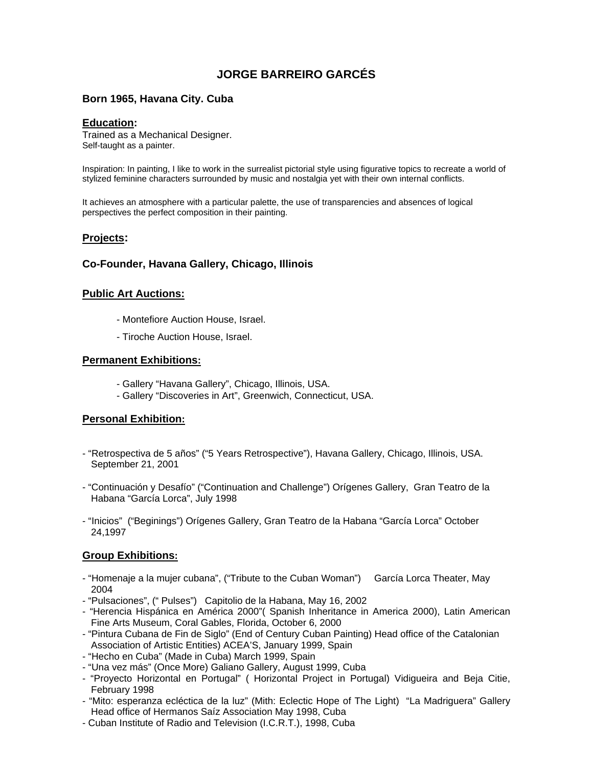# **JORGE BARREIRO GARCÉS**

## **Born 1965, Havana City. Cuba**

#### **Education:**

Trained as a Mechanical Designer. Self-taught as a painter.

Inspiration: In painting, I like to work in the surrealist pictorial style using figurative topics to recreate a world of stylized feminine characters surrounded by music and nostalgia yet with their own internal conflicts.

It achieves an atmosphere with a particular palette, the use of transparencies and absences of logical perspectives the perfect composition in their painting.

## **Projects:**

## **Co-Founder, Havana Gallery, Chicago, Illinois**

#### **Public Art Auctions:**

- Montefiore Auction House, Israel.
- Tiroche Auction House, Israel.

#### **Permanent Exhibitions:**

- Gallery "Havana Gallery", Chicago, Illinois, USA.
- Gallery "Discoveries in Art", Greenwich, Connecticut, USA.

## **Personal Exhibition:**

- "Retrospectiva de 5 años" ("5 Years Retrospective"), Havana Gallery, Chicago, Illinois, USA. September 21, 2001
- "Continuación y Desafío" ("Continuation and Challenge") Orígenes Gallery, Gran Teatro de la Habana "García Lorca", July 1998
- "Inicios" ("Beginings") Orígenes Gallery, Gran Teatro de la Habana "García Lorca" October 24,1997

## **Group Exhibitions:**

- "Homenaje a la mujer cubana", ("Tribute to the Cuban Woman") García Lorca Theater, May 2004
- "Pulsaciones", (" Pulses") Capitolio de la Habana, May 16, 2002
- "Herencia Hispánica en América 2000"( Spanish Inheritance in America 2000), Latin American Fine Arts Museum, Coral Gables, Florida, October 6, 2000
- "Pintura Cubana de Fin de Siglo" (End of Century Cuban Painting) Head office of the Catalonian Association of Artistic Entities) ACEA'S, January 1999, Spain
- "Hecho en Cuba" (Made in Cuba) March 1999, Spain
- "Una vez más" (Once More) Galiano Gallery, August 1999, Cuba
- "Proyecto Horizontal en Portugal" ( Horizontal Project in Portugal) Vidigueira and Beja Citie, February 1998
- "Mito: esperanza ecléctica de la luz" (Mith: Eclectic Hope of The Light) "La Madriguera" Gallery Head office of Hermanos Saíz Association May 1998, Cuba
- Cuban Institute of Radio and Television (I.C.R.T.), 1998, Cuba